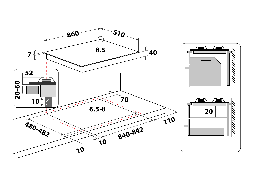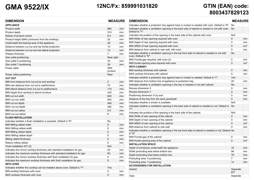## **GMA 9522/IX 12NC/Fx: 859991031820 GTIN (EAN) code:**

# **8003437829123**

## **DIMENSION MEASURE**

| <b>APPLIANCE</b>                                                           |                 |    |
|----------------------------------------------------------------------------|-----------------|----|
| Product width                                                              | 860             | mm |
| Product depth                                                              | 510             | mm |
| Radius of product corner                                                   | 8.5             | mm |
| Product height (MAX protrusion from the worktop)                           | 52              | mm |
| Underneath the bearing area of the appliance                               | 40              | mm |
| Distance between cut out and top frontal projection                        | 10              | mm |
| Distance between cut out and top lateral projection                        | 10              | mm |
| Plateau thickness                                                          | 7               | mm |
| Gas outlet positioning                                                     | Rear right      |    |
| Gas outlet X positioning                                                   | 35              | mm |
| Gas outlet Y positioning                                                   | 38              | mm |
| Power cable                                                                | With<br>product |    |
| Power cable positioning                                                    | Rear            |    |
| <b>CUT OUT</b>                                                             |                 |    |
| MIN front distance from cut-out to end worktop                             | 0               | mm |
| MIN rear distance from cut out to wall/furniture                           | 70              | mm |
| MIN lateral distance from cut out to wall/furniture                        | 110             | mm |
| MIN height from worktop to above furniture                                 | 420             | mm |
| MIN cut out width                                                          | 840             | mm |
| MAX cut out width                                                          | 842             | mm |
| MIN cut out depth                                                          | 480             | mm |
| MAX cut out depth                                                          | 482             | mm |
| MIN cut out radius                                                         | 6.5             | mm |
| MAX cut out radius                                                         | 8               | mm |
| <b>FLUSH INSTALLATION</b>                                                  |                 |    |
| Indicates whether a flush installation is possible. Default is "N"         | No              |    |
| MIN Milling rabbet width                                                   | 0               | mm |
| MAX Milling rabbet width                                                   | $\mathbf{0}$    | mm |
| MIN Milling rabbet depth                                                   | $\mathbf 0$     | mm |
| MAX Milling rabbet depth                                                   | $\mathbf{0}$    | mm |
| Milling rabbet thickness                                                   | 0               | mm |
| Radius milling rabbet                                                      | $\mathbf{0}$    | mm |
| Flush installation KIT (2)                                                 | N/A             |    |
| Indicates the minum worktop thickness with standard installation for gas   | 20              | mm |
| Indicates the maximum worktop thickness with standard installation for gas | 60              | mm |
| Indicates the minum worktop thickness with flush installation for gas      | 0               | mm |
| Indicates the maximum worktop thickness with flush installation for gas    | 0               | mm |
| <b>WITH OVEN</b>                                                           |                 |    |
| Indicates whether the cooktop can be installed above oven. Default is "Y"  | Yes             |    |
| MIN worktop thickness with oven                                            | $\mathbf{0}$    | mm |
| MAX worktop thickness with oven                                            | $\mathbf{0}$    | mm |

| <b>DIMENSION</b>                                                                                                       | <b>MEASURE</b>  |                 |
|------------------------------------------------------------------------------------------------------------------------|-----------------|-----------------|
| Indicates whether a protection tray against heat or contact is needed with oven. Default is "N"                        | No              |                 |
| Indicates whether a ventilation opening in the back side of cabinet is needed or not with oven.<br>Default is "Y"      | No              |                 |
| Indicates the position of the opening in the back side of the cabinet with oven                                        | N/A             |                 |
| MIN Width of rear opening required with oven                                                                           | 0               | mm              |
| MIN Depth of rear opening required with oven.                                                                          | 0               | mm              |
| MIN AREA of rear opening required with oven                                                                            | $\mathbf{0}$    | $\rm cm^2$      |
| MIN distance from cabinet to rear wall, with oven                                                                      | 0               | mm              |
| Indicates whether a ventilation opening in the top front side of cabinet is needed or not with<br>oven. Default is "N" | <b>No</b>       |                 |
| MIN Frontal gap required, with oven (2)                                                                                | 0               | mm              |
| MIN frontal opening area required with oven                                                                            | 0               | cm <sup>2</sup> |
| <b>WITH CABINET</b>                                                                                                    |                 |                 |
| MIN worktop thickness with cabinet                                                                                     | 0               | mm              |
| MAX worktop thickness with cabinet                                                                                     | 0               | mm              |
| Indicates whether a protection tray against heat or contact is needed. Default is "Y"                                  | Yes             |                 |
| MIN distance from bottom line of appliance to protection tray                                                          | 20              | mm              |
| Indicates whether a ventilation opening in the tray is needed or not with cabinet                                      | No              |                 |
| Recess dimension X                                                                                                     | $\mathbf{0}$    | mm              |
| Recess dimension Y                                                                                                     | 0               | mm              |
| Positioning dimension X by axis                                                                                        | 0               | mm              |
| Distance of the tray from the back panel/wall                                                                          | $\Omega$        | mm              |
| Indicates whether a divider is available                                                                               | N/A             |                 |
| Indicates whether a ventilation opening in the back side of cabinet is needed or not. Default is<br>"Y"                | No              |                 |
| Indicates the position of the opening in the back side of the cabinet.                                                 | N/A             |                 |
| MIN Width of rear opening of the cabinet                                                                               | 0               | mm              |
| MIN Depth of rear opening of the cabinet                                                                               | 0               | mm              |
| MIN AREA of rear opening of the cabinet                                                                                | $\mathbf 0$     | $\rm cm^2$      |
| MIN distance from cabinet to rear wall                                                                                 | 0               | mm              |
| Indicates whether a ventilation opening in the top front side of cabinet is needed or not. Default No<br>is "N"        |                 |                 |
| MIN Frontal gap of the cabinet                                                                                         | 0               | mm              |
| MIN frontal opening area of the cabinet                                                                                | $\Omega$        | cm <sup>2</sup> |
| <b>INSTALLATION SPACE</b>                                                                                              |                 |                 |
| Depth of immersion underneath the appliance                                                                            | 10              | mm              |
| Width protruding area below bottom box                                                                                 | 96              | mm              |
| Depth protruding area below bottom box                                                                                 | 78              | mm              |
| Protruding area: X positioning                                                                                         | 7               | mm              |
| Protruding area: Y positioning                                                                                         | 14              | mm              |
| <b>ACCESSORIES FOR INSTALLATION</b>                                                                                    |                 |                 |
| Gasket                                                                                                                 | Separate<br>KIT |                 |
| Clips                                                                                                                  | Separate        |                 |